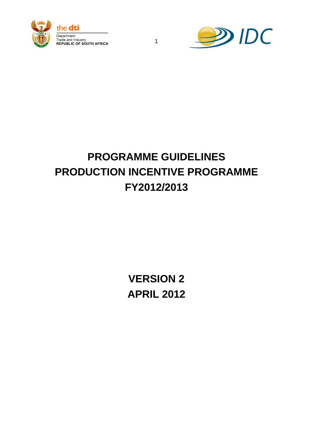



# **PROGRAMME GUIDELINES PRODUCTION INCENTIVE PROGRAMME FY2012/2013**

1

**VERSION 2 APRIL 2012**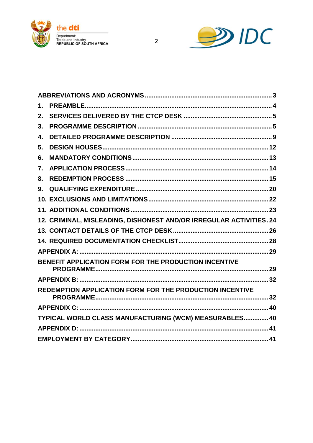



| $\mathbf 1$ . |                                                                    |  |
|---------------|--------------------------------------------------------------------|--|
| 2.            |                                                                    |  |
| 3.            |                                                                    |  |
| 4.            |                                                                    |  |
| 5.            |                                                                    |  |
| 6.            |                                                                    |  |
| 7.            |                                                                    |  |
| 8.            |                                                                    |  |
| 9.            |                                                                    |  |
|               |                                                                    |  |
|               |                                                                    |  |
|               | 12. CRIMINAL, MISLEADING, DISHONEST AND/OR IRREGULAR ACTIVITIES.24 |  |
|               |                                                                    |  |
|               |                                                                    |  |
|               |                                                                    |  |
|               | BENEFIT APPLICATION FORM FOR THE PRODUCTION INCENTIVE              |  |
|               |                                                                    |  |
|               | REDEMPTION APPLICATION FORM FOR THE PRODUCTION INCENTIVE           |  |
|               |                                                                    |  |
|               | TYPICAL WORLD CLASS MANUFACTURING (WCM) MEASURABLES 40             |  |
|               |                                                                    |  |
|               |                                                                    |  |
|               |                                                                    |  |

 $\overline{2}$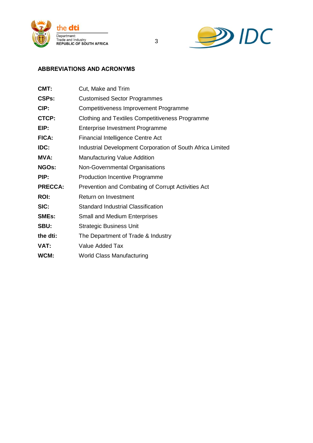



# <span id="page-2-0"></span>**ABBREVIATIONS AND ACRONYMS**

| CMT:           | Cut, Make and Trim                                         |  |
|----------------|------------------------------------------------------------|--|
| <b>CSPs:</b>   | <b>Customised Sector Programmes</b>                        |  |
| CIP:           | Competitiveness Improvement Programme                      |  |
| CTCP:          | <b>Clothing and Textiles Competitiveness Programme</b>     |  |
| EIP:           | <b>Enterprise Investment Programme</b>                     |  |
| <b>FICA:</b>   | <b>Financial Intelligence Centre Act</b>                   |  |
| IDC:           | Industrial Development Corporation of South Africa Limited |  |
| <b>MVA:</b>    | <b>Manufacturing Value Addition</b>                        |  |
| <b>NGOs:</b>   | Non-Governmental Organisations                             |  |
| PIP:           | <b>Production Incentive Programme</b>                      |  |
| <b>PRECCA:</b> | Prevention and Combating of Corrupt Activities Act         |  |
| <b>ROI:</b>    | Return on Investment                                       |  |
| SIC:           | <b>Standard Industrial Classification</b>                  |  |
| <b>SMEs:</b>   | <b>Small and Medium Enterprises</b>                        |  |
| SBU:           | <b>Strategic Business Unit</b>                             |  |
| the dti:       | The Department of Trade & Industry                         |  |
| VAT:           | Value Added Tax                                            |  |
| WCM:           | <b>World Class Manufacturing</b>                           |  |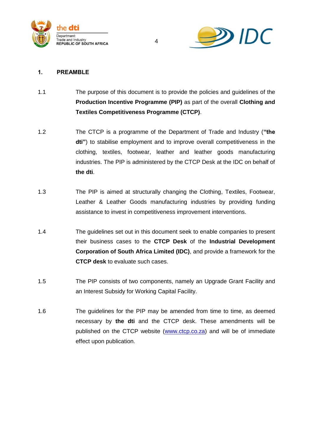



# <span id="page-3-0"></span>**1. PREAMBLE**

1.1 The purpose of this document is to provide the policies and guidelines of the **Production Incentive Programme (PIP)** as part of the overall **Clothing and Textiles Competitiveness Programme (CTCP)**.

- 1.2 The CTCP is a programme of the Department of Trade and Industry (**"the dti"**) to stabilise employment and to improve overall competitiveness in the clothing, textiles, footwear, leather and leather goods manufacturing industries. The PIP is administered by the CTCP Desk at the IDC on behalf of **the dti**.
- 1.3 The PIP is aimed at structurally changing the Clothing, Textiles, Footwear, Leather & Leather Goods manufacturing industries by providing funding assistance to invest in competitiveness improvement interventions.
- 1.4 The guidelines set out in this document seek to enable companies to present their business cases to the **CTCP Desk** of the **Industrial Development Corporation of South Africa Limited (IDC)**, and provide a framework for the **CTCP desk** to evaluate such cases.
- 1.5 The PIP consists of two components, namely an Upgrade Grant Facility and an Interest Subsidy for Working Capital Facility.
- 1.6 The guidelines for the PIP may be amended from time to time, as deemed necessary by **the dti** and the CTCP desk. These amendments will be published on the CTCP website [\(www.ctcp.co.za\)](http://www.ctcp.co.za/) and will be of immediate effect upon publication.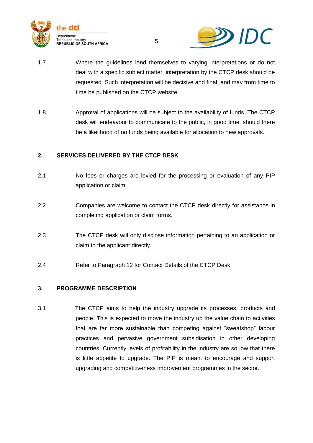



1.7 Where the guidelines lend themselves to varying interpretations or do not deal with a specific subject matter, interpretation by the CTCP desk should be requested. Such interpretation will be decisive and final, and may from time to time be published on the CTCP website.

5

1.8 Approval of applications will be subject to the availability of funds. The CTCP desk will endeavour to communicate to the public, in good time, should there be a likelihood of no funds being available for allocation to new approvals.

# <span id="page-4-0"></span>**2. SERVICES DELIVERED BY THE CTCP DESK**

- 2.1 No fees or charges are levied for the processing or evaluation of any PIP application or claim.
- 2.2 Companies are welcome to contact the CTCP desk directly for assistance in completing application or claim forms.
- 2.3 The CTCP desk will only disclose information pertaining to an application or claim to the applicant directly.
- 2.4 Refer to Paragraph 12 for Contact Details of the CTCP Desk

#### <span id="page-4-1"></span>**3. PROGRAMME DESCRIPTION**

3.1 The CTCP aims to help the industry upgrade its processes, products and people. This is expected to move the industry up the value chain to activities that are far more sustainable than competing against "sweatshop" labour practices and pervasive government subsidisation in other developing countries. Currently levels of profitability in the industry are so low that there is little appetite to upgrade. The PIP is meant to encourage and support upgrading and competitiveness improvement programmes in the sector.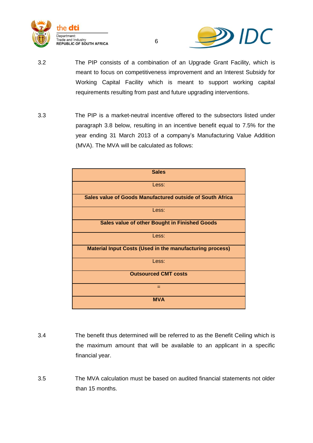



3.2 The PIP consists of a combination of an Upgrade Grant Facility, which is meant to focus on competitiveness improvement and an Interest Subsidy for Working Capital Facility which is meant to support working capital requirements resulting from past and future upgrading interventions.

6

3.3 The PIP is a market-neutral incentive offered to the subsectors listed under paragraph 3.8 below, resulting in an incentive benefit equal to 7.5% for the year ending 31 March 2013 of a company's Manufacturing Value Addition (MVA). The MVA will be calculated as follows:



- 3.4 The benefit thus determined will be referred to as the Benefit Ceiling which is the maximum amount that will be available to an applicant in a specific financial year.
- 3.5 The MVA calculation must be based on audited financial statements not older than 15 months.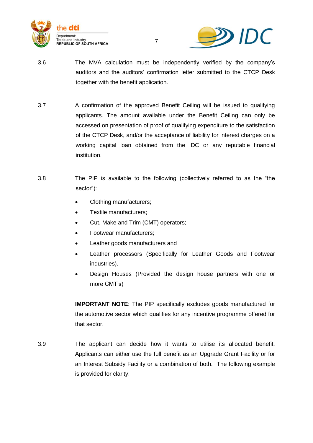



3.6 The MVA calculation must be independently verified by the company"s auditors and the auditors" confirmation letter submitted to the CTCP Desk together with the benefit application.

7

- 3.7 A confirmation of the approved Benefit Ceiling will be issued to qualifying applicants. The amount available under the Benefit Ceiling can only be accessed on presentation of proof of qualifying expenditure to the satisfaction of the CTCP Desk, and/or the acceptance of liability for interest charges on a working capital loan obtained from the IDC or any reputable financial institution.
- 3.8 The PIP is available to the following (collectively referred to as the "the sector"):
	- Clothing manufacturers;
	- Textile manufacturers;
	- Cut, Make and Trim (CMT) operators;
	- Footwear manufacturers;
	- Leather goods manufacturers and
	- Leather processors (Specifically for Leather Goods and Footwear industries).
	- Design Houses (Provided the design house partners with one or more CMT"s)

**IMPORTANT NOTE**: The PIP specifically excludes goods manufactured for the automotive sector which qualifies for any incentive programme offered for that sector.

3.9 The applicant can decide how it wants to utilise its allocated benefit. Applicants can either use the full benefit as an Upgrade Grant Facility or for an Interest Subsidy Facility or a combination of both. The following example is provided for clarity: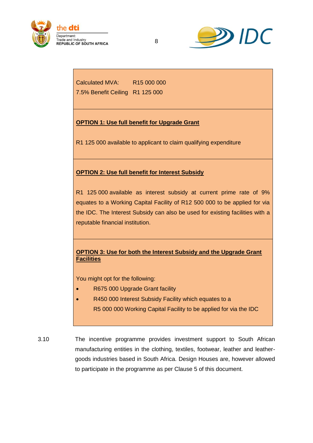



Calculated MVA: R15 000 000 7.5% Benefit Ceiling R1 125 000

# **OPTION 1: Use full benefit for Upgrade Grant**

R1 125 000 available to applicant to claim qualifying expenditure

#### **OPTION 2: Use full benefit for Interest Subsidy**

R1 125 000 available as interest subsidy at current prime rate of 9% equates to a Working Capital Facility of R12 500 000 to be applied for via the IDC. The Interest Subsidy can also be used for existing facilities with a reputable financial institution.

# **OPTION 3: Use for both the Interest Subsidy and the Upgrade Grant Facilities**

You might opt for the following:

- R675 000 Upgrade Grant facility
- R450 000 Interest Subsidy Facility which equates to a R5 000 000 Working Capital Facility to be applied for via the IDC
- 3.10 The incentive programme provides investment support to South African manufacturing entities in the clothing, textiles, footwear, leather and leathergoods industries based in South Africa. Design Houses are, however allowed to participate in the programme as per Clause 5 of this document.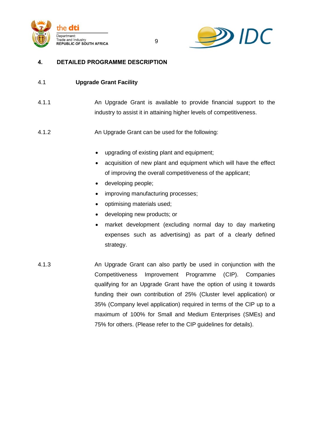



# <span id="page-8-0"></span>**4. DETAILED PROGRAMME DESCRIPTION**

# 4.1 **Upgrade Grant Facility**

4.1.1 An Upgrade Grant is available to provide financial support to the industry to assist it in attaining higher levels of competitiveness.

9

# 4.1.2 An Upgrade Grant can be used for the following:

- upgrading of existing plant and equipment;
- acquisition of new plant and equipment which will have the effect of improving the overall competitiveness of the applicant;
- developing people;
- improving manufacturing processes;
- optimising materials used;
- developing new products; or
- market development (excluding normal day to day marketing expenses such as advertising) as part of a clearly defined strategy.
- 4.1.3 An Upgrade Grant can also partly be used in conjunction with the Competitiveness Improvement Programme (CIP). Companies qualifying for an Upgrade Grant have the option of using it towards funding their own contribution of 25% (Cluster level application) or 35% (Company level application) required in terms of the CIP up to a maximum of 100% for Small and Medium Enterprises (SMEs) and 75% for others. (Please refer to the CIP guidelines for details).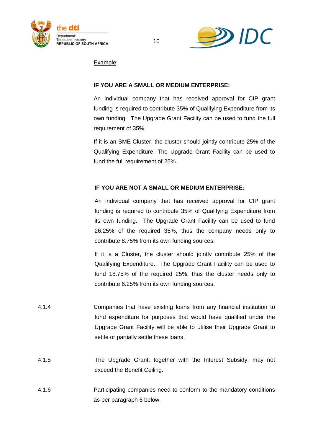



Example:

# **IF YOU ARE A SMALL OR MEDIUM ENTERPRISE:**

An individual company that has received approval for CIP grant funding is required to contribute 35% of Qualifying Expenditure from its own funding. The Upgrade Grant Facility can be used to fund the full requirement of 35%.

If it is an SME Cluster, the cluster should jointly contribute 25% of the Qualifying Expenditure. The Upgrade Grant Facility can be used to fund the full requirement of 25%.

# **IF YOU ARE NOT A SMALL OR MEDIUM ENTERPRISE:**

An individual company that has received approval for CIP grant funding is required to contribute 35% of Qualifying Expenditure from its own funding. The Upgrade Grant Facility can be used to fund 26.25% of the required 35%, thus the company needs only to contribute 8.75% from its own funding sources.

If it is a Cluster, the cluster should jointly contribute 25% of the Qualifying Expenditure. The Upgrade Grant Facility can be used to fund 18.75% of the required 25%, thus the cluster needs only to contribute 6.25% from its own funding sources.

- 4.1.4 Companies that have existing loans from any financial institution to fund expenditure for purposes that would have qualified under the Upgrade Grant Facility will be able to utilise their Upgrade Grant to settle or partially settle these loans.
- 4.1.5 The Upgrade Grant, together with the Interest Subsidy, may not exceed the Benefit Ceiling.
- 4.1.6 Participating companies need to conform to the mandatory conditions as per paragraph 6 below.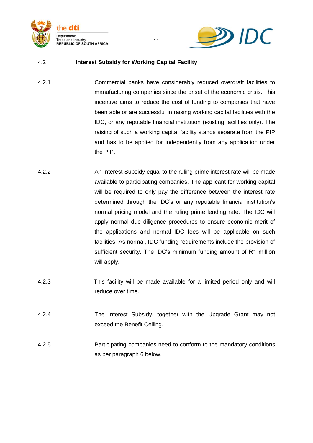



# 4.2 **Interest Subsidy for Working Capital Facility**

4.2.1 Commercial banks have considerably reduced overdraft facilities to manufacturing companies since the onset of the economic crisis. This incentive aims to reduce the cost of funding to companies that have been able or are successful in raising working capital facilities with the IDC, or any reputable financial institution (existing facilities only). The raising of such a working capital facility stands separate from the PIP and has to be applied for independently from any application under the PIP.

- 4.2.2 An Interest Subsidy equal to the ruling prime interest rate will be made available to participating companies. The applicant for working capital will be required to only pay the difference between the interest rate determined through the IDC"s or any reputable financial institution"s normal pricing model and the ruling prime lending rate. The IDC will apply normal due diligence procedures to ensure economic merit of the applications and normal IDC fees will be applicable on such facilities. As normal, IDC funding requirements include the provision of sufficient security. The IDC's minimum funding amount of R1 million will apply.
- 4.2.3 This facility will be made available for a limited period only and will reduce over time.
- 4.2.4 The Interest Subsidy, together with the Upgrade Grant may not exceed the Benefit Ceiling.
- 4.2.5 Participating companies need to conform to the mandatory conditions as per paragraph 6 below.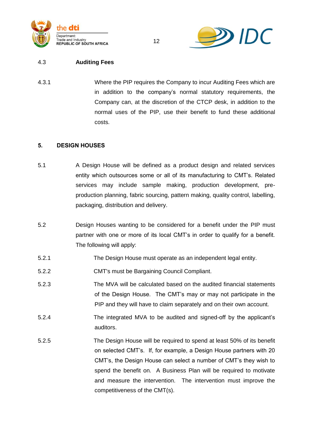



#### 4.3 **Auditing Fees**

4.3.1 Where the PIP requires the Company to incur Auditing Fees which are in addition to the company"s normal statutory requirements, the Company can, at the discretion of the CTCP desk, in addition to the normal uses of the PIP, use their benefit to fund these additional costs.

#### <span id="page-11-0"></span>**5. DESIGN HOUSES**

- 5.1 A Design House will be defined as a product design and related services entity which outsources some or all of its manufacturing to CMT"s. Related services may include sample making, production development, preproduction planning, fabric sourcing, pattern making, quality control, labelling, packaging, distribution and delivery.
- 5.2 Design Houses wanting to be considered for a benefit under the PIP must partner with one or more of its local CMT"s in order to qualify for a benefit. The following will apply:
- 5.2.1 The Design House must operate as an independent legal entity.
- 5.2.2 CMT's must be Bargaining Council Compliant.
- 5.2.3 The MVA will be calculated based on the audited financial statements of the Design House. The CMT"s may or may not participate in the PIP and they will have to claim separately and on their own account.
- 5.2.4 The integrated MVA to be audited and signed-off by the applicant"s auditors.
- 5.2.5 The Design House will be required to spend at least 50% of its benefit on selected CMT"s. If, for example, a Design House partners with 20 CMT"s, the Design House can select a number of CMT"s they wish to spend the benefit on. A Business Plan will be required to motivate and measure the intervention. The intervention must improve the competitiveness of the CMT(s).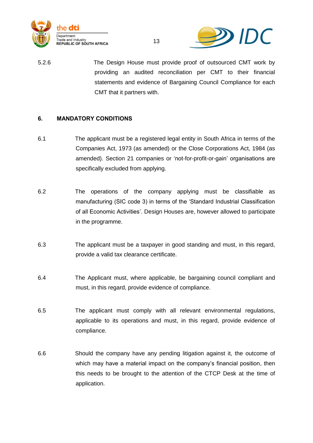



5.2.6 The Design House must provide proof of outsourced CMT work by providing an audited reconciliation per CMT to their financial statements and evidence of Bargaining Council Compliance for each CMT that it partners with.

13

# <span id="page-12-0"></span>**6. MANDATORY CONDITIONS**

- 6.1 The applicant must be a registered legal entity in South Africa in terms of the Companies Act, 1973 (as amended) or the Close Corporations Act, 1984 (as amended). Section 21 companies or "not-for-profit-or-gain" organisations are specifically excluded from applying.
- 6.2 The operations of the company applying must be classifiable as manufacturing (SIC code 3) in terms of the "Standard Industrial Classification of all Economic Activities". Design Houses are, however allowed to participate in the programme.
- 6.3 The applicant must be a taxpayer in good standing and must, in this regard, provide a valid tax clearance certificate.
- 6.4 The Applicant must, where applicable, be bargaining council compliant and must, in this regard, provide evidence of compliance.
- 6.5 The applicant must comply with all relevant environmental regulations, applicable to its operations and must, in this regard, provide evidence of compliance.
- 6.6 Should the company have any pending litigation against it, the outcome of which may have a material impact on the company's financial position, then this needs to be brought to the attention of the CTCP Desk at the time of application.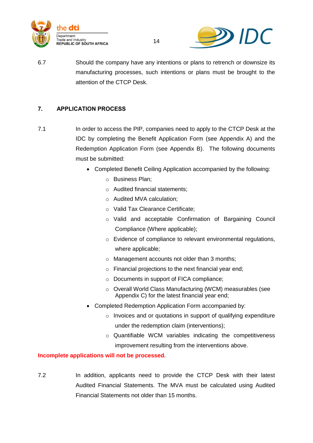



6.7 Should the company have any intentions or plans to retrench or downsize its manufacturing processes, such intentions or plans must be brought to the attention of the CTCP Desk.

# <span id="page-13-0"></span>**7. APPLICATION PROCESS**

- 7.1 In order to access the PIP, companies need to apply to the CTCP Desk at the IDC by completing the Benefit Application Form (see Appendix A) and the Redemption Application Form (see Appendix B). The following documents must be submitted:
	- Completed Benefit Ceiling Application accompanied by the following:
		- o Business Plan;
		- o Audited financial statements;
		- o Audited MVA calculation;
		- o Valid Tax Clearance Certificate;
		- o Valid and acceptable Confirmation of Bargaining Council Compliance (Where applicable);
		- o Evidence of compliance to relevant environmental regulations, where applicable;
		- o Management accounts not older than 3 months;
		- o Financial projections to the next financial year end;
		- o Documents in support of FICA compliance;
		- o Overall World Class Manufacturing (WCM) measurables (see Appendix C) for the latest financial year end;
	- Completed Redemption Application Form accompanied by:
		- o Invoices and or quotations in support of qualifying expenditure under the redemption claim (interventions);
		- o Quantifiable WCM variables indicating the competitiveness improvement resulting from the interventions above.

# **Incomplete applications will not be processed.**

7.2 In addition, applicants need to provide the CTCP Desk with their latest Audited Financial Statements. The MVA must be calculated using Audited Financial Statements not older than 15 months.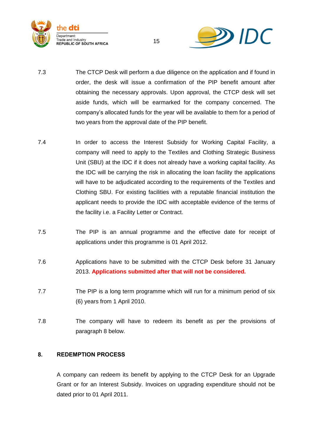



- 7.3 The CTCP Desk will perform a due diligence on the application and if found in order, the desk will issue a confirmation of the PIP benefit amount after obtaining the necessary approvals. Upon approval, the CTCP desk will set aside funds, which will be earmarked for the company concerned. The company"s allocated funds for the year will be available to them for a period of two years from the approval date of the PIP benefit.
- 7.4 In order to access the Interest Subsidy for Working Capital Facility, a company will need to apply to the Textiles and Clothing Strategic Business Unit (SBU) at the IDC if it does not already have a working capital facility. As the IDC will be carrying the risk in allocating the loan facility the applications will have to be adjudicated according to the requirements of the Textiles and Clothing SBU. For existing facilities with a reputable financial institution the applicant needs to provide the IDC with acceptable evidence of the terms of the facility i.e. a Facility Letter or Contract.
- 7.5 The PIP is an annual programme and the effective date for receipt of applications under this programme is 01 April 2012.
- 7.6 Applications have to be submitted with the CTCP Desk before 31 January 2013. **Applications submitted after that will not be considered.**
- 7.7 The PIP is a long term programme which will run for a minimum period of six (6) years from 1 April 2010.
- 7.8 The company will have to redeem its benefit as per the provisions of paragraph 8 below.

#### <span id="page-14-0"></span>**8. REDEMPTION PROCESS**

A company can redeem its benefit by applying to the CTCP Desk for an Upgrade Grant or for an Interest Subsidy. Invoices on upgrading expenditure should not be dated prior to 01 April 2011.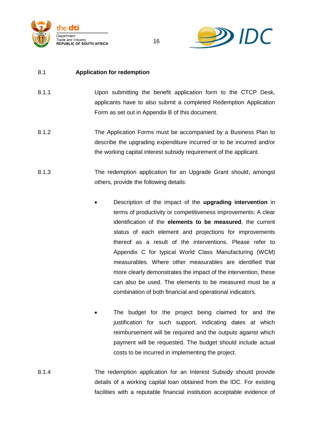



# 8.1 **Application for redemption**

- 8.1.1 Upon submitting the benefit application form to the CTCP Desk, applicants have to also submit a completed Redemption Application Form as set out in Appendix B of this document.
- 8.1.2 The Application Forms must be accompanied by a Business Plan to describe the upgrading expenditure incurred or to be incurred and/or the working capital interest subsidy requirement of the applicant.
- 8.1.3 The redemption application for an Upgrade Grant should, amongst others, provide the following details:
	- Description of the impact of the **upgrading intervention** in terms of productivity or competitiveness improvements: A clear identification of the **elements to be measured**, the current status of each element and projections for improvements thereof as a result of the interventions. Please refer to Appendix C for typical World Class Manufacturing (WCM) measurables. Where other measurables are identified that more clearly demonstrates the impact of the intervention, these can also be used. The elements to be measured must be a combination of both financial and operational indicators.
	- The budget for the project being claimed for and the justification for such support, indicating dates at which reimbursement will be required and the outputs against which payment will be requested. The budget should include actual costs to be incurred in implementing the project.
- 8.1.4 The redemption application for an Interest Subsidy should provide details of a working capital loan obtained from the IDC. For existing facilities with a reputable financial institution acceptable evidence of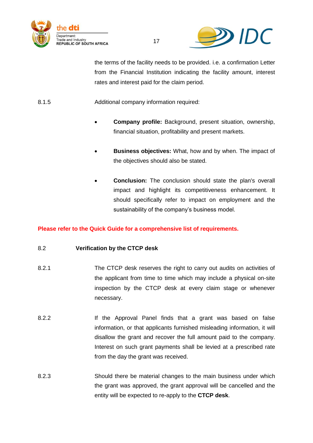



the terms of the facility needs to be provided. i.e. a confirmation Letter from the Financial Institution indicating the facility amount, interest rates and interest paid for the claim period.

8.1.5 Additional company information required:

- **Company profile:** Background, present situation, ownership, financial situation, profitability and present markets.
- **Business objectives:** What, how and by when. The impact of the objectives should also be stated.
- **Conclusion:** The conclusion should state the plan's overall impact and highlight its competitiveness enhancement. It should specifically refer to impact on employment and the sustainability of the company's business model.

# **Please refer to the Quick Guide for a comprehensive list of requirements.**

# 8.2 **Verification by the CTCP desk**

- 8.2.1 The CTCP desk reserves the right to carry out audits on activities of the applicant from time to time which may include a physical on-site inspection by the CTCP desk at every claim stage or whenever necessary.
- 8.2.2 If the Approval Panel finds that a grant was based on false information, or that applicants furnished misleading information, it will disallow the grant and recover the full amount paid to the company. Interest on such grant payments shall be levied at a prescribed rate from the day the grant was received.
- 8.2.3 Should there be material changes to the main business under which the grant was approved, the grant approval will be cancelled and the entity will be expected to re-apply to the **CTCP desk**.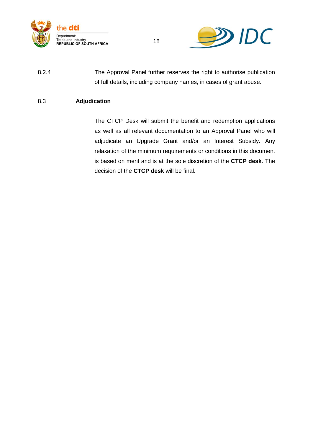



8.2.4 The Approval Panel further reserves the right to authorise publication of full details, including company names, in cases of grant abuse.

# 8.3 **Adjudication**

The CTCP Desk will submit the benefit and redemption applications as well as all relevant documentation to an Approval Panel who will adjudicate an Upgrade Grant and/or an Interest Subsidy. Any relaxation of the minimum requirements or conditions in this document is based on merit and is at the sole discretion of the **CTCP desk**. The decision of the **CTCP desk** will be final.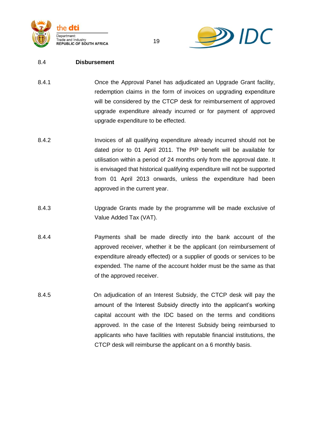



#### 8.4 **Disbursement**

- 8.4.1 Once the Approval Panel has adjudicated an Upgrade Grant facility, redemption claims in the form of invoices on upgrading expenditure will be considered by the CTCP desk for reimbursement of approved upgrade expenditure already incurred or for payment of approved upgrade expenditure to be effected.
- 8.4.2 Invoices of all qualifying expenditure already incurred should not be dated prior to 01 April 2011. The PIP benefit will be available for utilisation within a period of 24 months only from the approval date. It is envisaged that historical qualifying expenditure will not be supported from 01 April 2013 onwards, unless the expenditure had been approved in the current year.
- 8.4.3 Upgrade Grants made by the programme will be made exclusive of Value Added Tax (VAT).
- 8.4.4 Payments shall be made directly into the bank account of the approved receiver, whether it be the applicant (on reimbursement of expenditure already effected) or a supplier of goods or services to be expended. The name of the account holder must be the same as that of the approved receiver.
- 8.4.5 On adjudication of an Interest Subsidy, the CTCP desk will pay the amount of the Interest Subsidy directly into the applicant's working capital account with the IDC based on the terms and conditions approved. In the case of the Interest Subsidy being reimbursed to applicants who have facilities with reputable financial institutions, the CTCP desk will reimburse the applicant on a 6 monthly basis.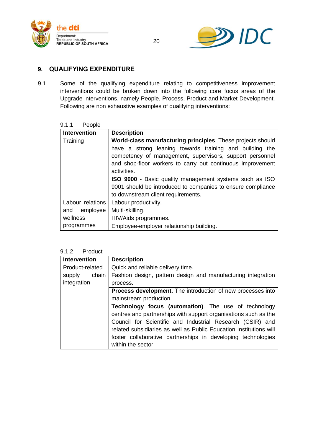



# <span id="page-19-0"></span>**9. QUALIFYING EXPENDITURE**

9.1 Some of the qualifying expenditure relating to competitiveness improvement interventions could be broken down into the following core focus areas of the Upgrade interventions, namely People, Process, Product and Market Development. Following are non exhaustive examples of qualifying interventions:

| 9.1.1 | People |
|-------|--------|
|-------|--------|

| <b>Intervention</b>                                            | <b>Description</b>                                          |
|----------------------------------------------------------------|-------------------------------------------------------------|
| Training                                                       | World-class manufacturing principles. These projects should |
|                                                                | have a strong leaning towards training and building the     |
|                                                                | competency of management, supervisors, support personnel    |
|                                                                | and shop-floor workers to carry out continuous improvement  |
| activities.                                                    |                                                             |
| <b>ISO 9000</b> - Basic quality management systems such as ISO |                                                             |
|                                                                | 9001 should be introduced to companies to ensure compliance |
|                                                                | to downstream client requirements.                          |
| Labour relations                                               | Labour productivity.                                        |
| and employee                                                   | Multi-skilling.                                             |
| wellness                                                       | HIV/Aids programmes.                                        |
| programmes                                                     | Employee-employer relationship building.                    |

#### 9.1.2 Product

| <b>Intervention</b> | <b>Description</b>                                                                                                                                                                                                                                                                                                                                      |
|---------------------|---------------------------------------------------------------------------------------------------------------------------------------------------------------------------------------------------------------------------------------------------------------------------------------------------------------------------------------------------------|
| Product-related     | Quick and reliable delivery time.                                                                                                                                                                                                                                                                                                                       |
| chain<br>supply     | Fashion design, pattern design and manufacturing integration                                                                                                                                                                                                                                                                                            |
| integration         | process.                                                                                                                                                                                                                                                                                                                                                |
|                     | <b>Process development.</b> The introduction of new processes into                                                                                                                                                                                                                                                                                      |
|                     | mainstream production.                                                                                                                                                                                                                                                                                                                                  |
|                     | <b>Technology focus (automation).</b> The use of technology<br>centres and partnerships with support organisations such as the<br>Council for Scientific and Industrial Research (CSIR) and<br>related subsidiaries as well as Public Education Institutions will<br>foster collaborative partnerships in developing technologies<br>within the sector. |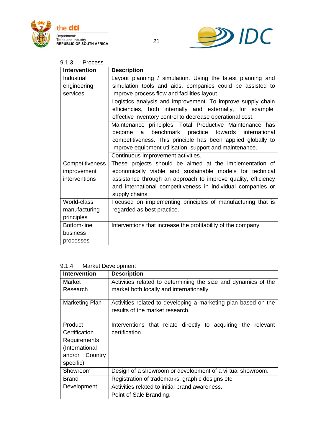



# 9.1.3 Process

| <b>Intervention</b> | <b>Description</b>                                            |
|---------------------|---------------------------------------------------------------|
| Industrial          | Layout planning / simulation. Using the latest planning and   |
| engineering         | simulation tools and aids, companies could be assisted to     |
| services            | improve process flow and facilities layout.                   |
|                     | Logistics analysis and improvement. To improve supply chain   |
|                     | efficiencies, both internally and externally, for example,    |
|                     | effective inventory control to decrease operational cost.     |
|                     | Maintenance principles. Total Productive Maintenance has      |
|                     | benchmark practice towards international<br>become<br>a       |
|                     | competitiveness. This principle has been applied globally to  |
|                     | improve equipment utilisation, support and maintenance.       |
|                     | Continuous Improvement activities.                            |
| Competitiveness     | These projects should be aimed at the implementation of       |
| improvement         | economically viable and sustainable models for technical      |
| interventions       | assistance through an approach to improve quality, efficiency |
|                     | and international competitiveness in individual companies or  |
|                     | supply chains.                                                |
| World-class         | Focused on implementing principles of manufacturing that is   |
| manufacturing       | regarded as best practice.                                    |
| principles          |                                                               |
| Bottom-line         | Interventions that increase the profitability of the company. |
| business            |                                                               |
| processes           |                                                               |

#### 9.1.4 Market Development

| <b>Intervention</b> | <b>Description</b>                                                                                |
|---------------------|---------------------------------------------------------------------------------------------------|
| Market              | Activities related to determining the size and dynamics of the                                    |
| Research            | market both locally and internationally.                                                          |
| Marketing Plan      | Activities related to developing a marketing plan based on the<br>results of the market research. |
| <b>Product</b>      | Interventions that relate directly to acquiring the relevant                                      |
| Certification       | certification.                                                                                    |
| Requirements        |                                                                                                   |
| (International      |                                                                                                   |
| and/or Country      |                                                                                                   |
| specific)           |                                                                                                   |
| Showroom            | Design of a showroom or development of a virtual showroom.                                        |
| Brand               | Registration of trademarks, graphic designs etc.                                                  |
| Development         | Activities related to initial brand awareness.                                                    |
|                     | Point of Sale Branding.                                                                           |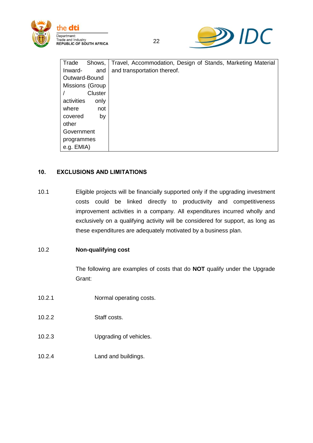



| Trade           | Shows,  | Travel, Accommodation, Design of Stands, Marketing Material |
|-----------------|---------|-------------------------------------------------------------|
| Inward-         | and     | and transportation thereof.                                 |
| Outward-Bound   |         |                                                             |
| Missions (Group |         |                                                             |
|                 | Cluster |                                                             |
| activities      | only    |                                                             |
| where           | not     |                                                             |
| covered         | by      |                                                             |
| other           |         |                                                             |
| Government      |         |                                                             |
| programmes      |         |                                                             |
| e.g. EMIA)      |         |                                                             |

22

# <span id="page-21-0"></span>**10. EXCLUSIONS AND LIMITATIONS**

10.1 Eligible projects will be financially supported only if the upgrading investment costs could be linked directly to productivity and competitiveness improvement activities in a company. All expenditures incurred wholly and exclusively on a qualifying activity will be considered for support, as long as these expenditures are adequately motivated by a business plan.

# 10.2 **Non-qualifying cost**

The following are examples of costs that do **NOT** qualify under the Upgrade Grant:

- 10.2.1 Normal operating costs.
- 10.2.2 Staff costs.
- 10.2.3 Upgrading of vehicles.
- 10.2.4 Land and buildings.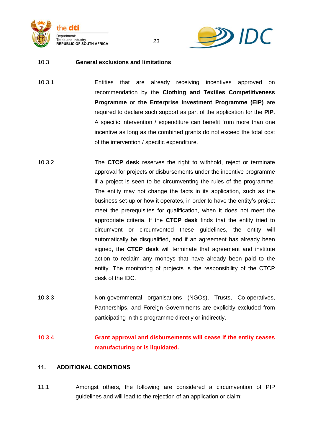



#### 10.3 **General exclusions and limitations**

10.3.1 Entities that are already receiving incentives approved on recommendation by the **Clothing and Textiles Competitiveness Programme** or **the Enterprise Investment Programme (EIP)** are required to declare such support as part of the application for the **PIP**. A specific intervention / expenditure can benefit from more than one incentive as long as the combined grants do not exceed the total cost of the intervention / specific expenditure.

23

- 10.3.2 The **CTCP desk** reserves the right to withhold, reject or terminate approval for projects or disbursements under the incentive programme if a project is seen to be circumventing the rules of the programme. The entity may not change the facts in its application, such as the business set-up or how it operates, in order to have the entity"s project meet the prerequisites for qualification, when it does not meet the appropriate criteria. If the **CTCP desk** finds that the entity tried to circumvent or circumvented these guidelines, the entity will automatically be disqualified, and if an agreement has already been signed, the **CTCP desk** will terminate that agreement and institute action to reclaim any moneys that have already been paid to the entity. The monitoring of projects is the responsibility of the CTCP desk of the IDC.
- 10.3.3 Non-governmental organisations (NGOs), Trusts, Co-operatives, Partnerships, and Foreign Governments are explicitly excluded from participating in this programme directly or indirectly.
- 10.3.4 **Grant approval and disbursements will cease if the entity ceases manufacturing or is liquidated.**

#### <span id="page-22-0"></span>**11. ADDITIONAL CONDITIONS**

11.1 Amongst others, the following are considered a circumvention of PIP guidelines and will lead to the rejection of an application or claim: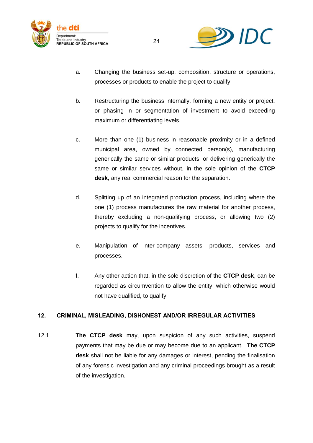



- a. Changing the business set-up, composition, structure or operations, processes or products to enable the project to qualify.
- b. Restructuring the business internally, forming a new entity or project, or phasing in or segmentation of investment to avoid exceeding maximum or differentiating levels.
- c. More than one (1) business in reasonable proximity or in a defined municipal area, owned by connected person(s), manufacturing generically the same or similar products, or delivering generically the same or similar services without, in the sole opinion of the **CTCP desk**, any real commercial reason for the separation.
- d. Splitting up of an integrated production process, including where the one (1) process manufactures the raw material for another process, thereby excluding a non-qualifying process, or allowing two (2) projects to qualify for the incentives.
- e. Manipulation of inter-company assets, products, services and processes.
- f. Any other action that, in the sole discretion of the **CTCP desk**, can be regarded as circumvention to allow the entity, which otherwise would not have qualified, to qualify.

# <span id="page-23-0"></span>**12. CRIMINAL, MISLEADING, DISHONEST AND/OR IRREGULAR ACTIVITIES**

12.1 **The CTCP desk** may, upon suspicion of any such activities, suspend payments that may be due or may become due to an applicant. **The CTCP desk** shall not be liable for any damages or interest, pending the finalisation of any forensic investigation and any criminal proceedings brought as a result of the investigation.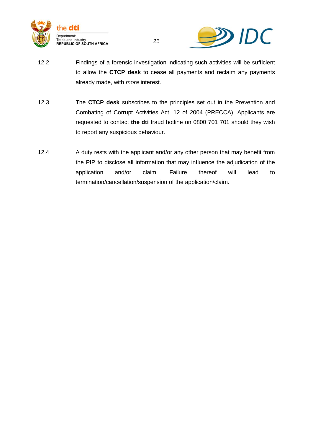



12.2 Findings of a forensic investigation indicating such activities will be sufficient to allow the **CTCP desk** to cease all payments and reclaim any payments already made, with *mora* interest.

- 12.3 The **CTCP desk** subscribes to the principles set out in the Prevention and Combating of Corrupt Activities Act, 12 of 2004 (PRECCA). Applicants are requested to contact **the dti** fraud hotline on 0800 701 701 should they wish to report any suspicious behaviour.
- 12.4 A duty rests with the applicant and/or any other person that may benefit from the PIP to disclose all information that may influence the adjudication of the application and/or claim. Failure thereof will lead to termination/cancellation/suspension of the application/claim.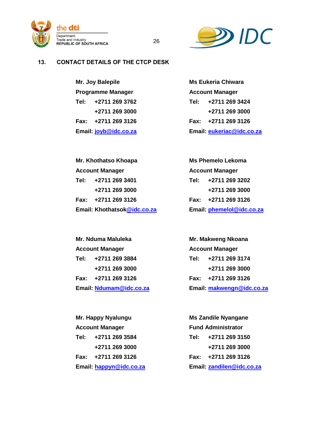



# <span id="page-25-0"></span>**13. CONTACT DETAILS OF THE CTCP DESK**

**Mr. Joy Balepile Ms Eukeria Chiwara Programme Manager Account Manager** 

**Tel: +2711 269 3762 Tel: +2711 269 3424 +2711 269 3000 +2711 269 3000 Fax: +2711 269 3126 Fax: +2711 269 3126 Email: [joyb@idc.co.za](mailto:joyb@idc.co.za) Email: [eukeriac@idc.co.za](mailto:eukeriac@idc.co.za)**

**Mr. Khothatso Khoapa Ms Phemelo Lekoma Account Manager Account Manager Tel: +2711 269 3401 Tel: +2711 269 3202 Email: Khothatso[k@idc.co.za](mailto:@idc.co.za) Email: [phemelol@idc.co.za](mailto:phemelol@idc.co.za)**

**Mr. Nduma Maluleka Mr. Makweng Nkoana +2711 269 3000 +2711 269 3000 Email: [Ndumam@idc.co.za](mailto:Ndumam@idc.co.za) Email: [makwengn@idc.co.za](mailto:makwengn@idc.co.za)**

**+2711 269 3000 +2711 269 3000 Email: [happyn@idc.co.za](mailto:happyn@idc.co.za) Email: [zandilen@idc.co.za](mailto:zandilen@idc.co.za)**

# **+2711 269 3000 +2711 269 3000 Fax: +2711 269 3126 Fax: +2711 269 3126**

26

**Account Manager Account Manager Tel: +2711 269 3884 Tel: +2711 269 3174 Fax: +2711 269 3126 Fax: +2711 269 3126**

**Mr. Happy Nyalungu Ms Zandile Nyangane Account Manager Fund Administrator Tel: +2711 269 3584 Tel: +2711 269 3150 Fax: +2711 269 3126 Fax: +2711 269 3126**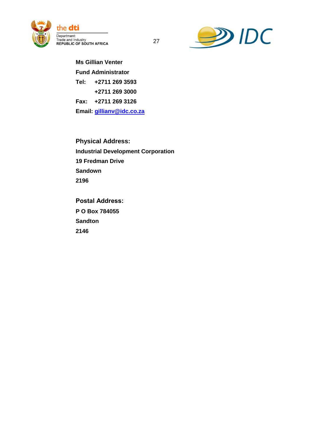



**Ms Gillian Venter Fund Administrator Tel: +2711 269 3593 +2711 269 3000 Fax: +2711 269 3126 Email: [gillianv@idc.co.za](mailto:gillianv@idc.co.za)**

**Physical Address: Industrial Development Corporation 19 Fredman Drive Sandown 2196**

**Postal Address: P O Box 784055 Sandton 2146**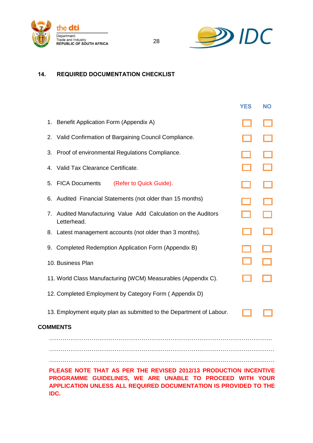



# <span id="page-27-0"></span>**14. REQUIRED DOCUMENTATION CHECKLIST**

|                 |                                                                                                                              | <b>YES</b> | <b>NO</b> |  |
|-----------------|------------------------------------------------------------------------------------------------------------------------------|------------|-----------|--|
| 1.              | Benefit Application Form (Appendix A)                                                                                        |            |           |  |
| 2.              | Valid Confirmation of Bargaining Council Compliance.                                                                         |            |           |  |
| 3.              | Proof of environmental Regulations Compliance.                                                                               |            |           |  |
| 4.              | Valid Tax Clearance Certificate.                                                                                             |            |           |  |
| 5.              | <b>FICA Documents</b><br>(Refer to Quick Guide).                                                                             |            |           |  |
| 6.              | Audited Financial Statements (not older than 15 months)                                                                      |            |           |  |
| 7.              | Audited Manufacturing Value Add Calculation on the Auditors<br>Letterhead.                                                   |            |           |  |
| 8.              | Latest management accounts (not older than 3 months).                                                                        |            |           |  |
| 9.              | Completed Redemption Application Form (Appendix B)                                                                           |            |           |  |
|                 | 10. Business Plan                                                                                                            |            |           |  |
|                 | 11. World Class Manufacturing (WCM) Measurables (Appendix C).                                                                |            |           |  |
|                 | 12. Completed Employment by Category Form (Appendix D)                                                                       |            |           |  |
|                 | 13. Employment equity plan as submitted to the Department of Labour.                                                         |            |           |  |
| <b>COMMENTS</b> |                                                                                                                              |            |           |  |
|                 |                                                                                                                              |            |           |  |
|                 |                                                                                                                              |            |           |  |
|                 | PLEASE NOTE THAT AS PER THE REVISED 2012/13 PRODUCTION INCENTIVE                                                             |            |           |  |
|                 | PROGRAMME GUIDELINES, WE ARE UNABLE TO PROCEED WITH YOUR<br>APPLICATION UNLESS ALL REQUIRED DOCUMENTATION IS PROVIDED TO THE |            |           |  |

28

**IDC.**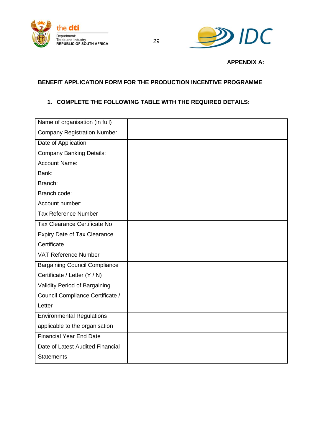



**APPENDIX A:**

# <span id="page-28-1"></span><span id="page-28-0"></span>**BENEFIT APPLICATION FORM FOR THE PRODUCTION INCENTIVE PROGRAMME**

# **1. COMPLETE THE FOLLOWING TABLE WITH THE REQUIRED DETAILS:**

| Name of organisation (in full)       |  |
|--------------------------------------|--|
| <b>Company Registration Number</b>   |  |
| Date of Application                  |  |
| <b>Company Banking Details:</b>      |  |
| <b>Account Name:</b>                 |  |
| Bank:                                |  |
| Branch:                              |  |
| Branch code:                         |  |
| Account number:                      |  |
| <b>Tax Reference Number</b>          |  |
| Tax Clearance Certificate No         |  |
| <b>Expiry Date of Tax Clearance</b>  |  |
| Certificate                          |  |
| VAT Reference Number                 |  |
| <b>Bargaining Council Compliance</b> |  |
| Certificate / Letter (Y / N)         |  |
| Validity Period of Bargaining        |  |
| Council Compliance Certificate /     |  |
| Letter                               |  |
| <b>Environmental Regulations</b>     |  |
| applicable to the organisation       |  |
| <b>Financial Year End Date</b>       |  |
| Date of Latest Audited Financial     |  |
| <b>Statements</b>                    |  |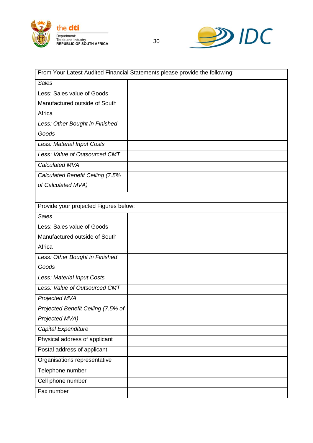



| From Your Latest Audited Financial Statements please provide the following: |  |  |  |
|-----------------------------------------------------------------------------|--|--|--|
| <b>Sales</b>                                                                |  |  |  |
| Less: Sales value of Goods                                                  |  |  |  |
| Manufactured outside of South                                               |  |  |  |
| Africa                                                                      |  |  |  |
| Less: Other Bought in Finished                                              |  |  |  |
| Goods                                                                       |  |  |  |
| Less: Material Input Costs                                                  |  |  |  |
| Less: Value of Outsourced CMT                                               |  |  |  |
| Calculated MVA                                                              |  |  |  |
| Calculated Benefit Ceiling (7.5%                                            |  |  |  |
| of Calculated MVA)                                                          |  |  |  |
|                                                                             |  |  |  |
| Provide your projected Figures below:                                       |  |  |  |
| <b>Sales</b>                                                                |  |  |  |
| Less: Sales value of Goods                                                  |  |  |  |
| Manufactured outside of South                                               |  |  |  |
| Africa                                                                      |  |  |  |
| Less: Other Bought in Finished                                              |  |  |  |
| Goods                                                                       |  |  |  |
| Less: Material Input Costs                                                  |  |  |  |
| Less: Value of Outsourced CMT                                               |  |  |  |
| Projected MVA                                                               |  |  |  |
| Projected Benefit Ceiling (7.5% of                                          |  |  |  |
| Projected MVA)                                                              |  |  |  |
| Capital Expenditure                                                         |  |  |  |
| Physical address of applicant                                               |  |  |  |
| Postal address of applicant                                                 |  |  |  |
| Organisations representative                                                |  |  |  |
| Telephone number                                                            |  |  |  |
| Cell phone number                                                           |  |  |  |
| Fax number                                                                  |  |  |  |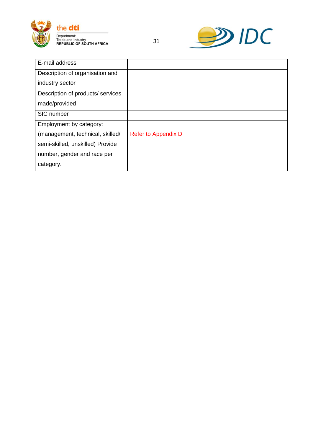



| E-mail address                   |                            |
|----------------------------------|----------------------------|
| Description of organisation and  |                            |
| industry sector                  |                            |
| Description of products/services |                            |
| made/provided                    |                            |
| SIC number                       |                            |
| Employment by category:          |                            |
| (management, technical, skilled/ | <b>Refer to Appendix D</b> |
| semi-skilled, unskilled) Provide |                            |
| number, gender and race per      |                            |
| category.                        |                            |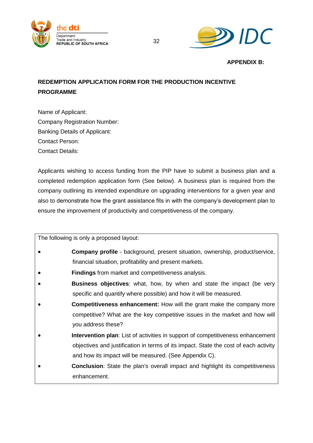



<span id="page-31-0"></span>**APPENDIX B:**

# <span id="page-31-1"></span>**REDEMPTION APPLICATION FORM FOR THE PRODUCTION INCENTIVE PROGRAMME**

Name of Applicant: Company Registration Number: Banking Details of Applicant: Contact Person: Contact Details:

Applicants wishing to access funding from the PIP have to submit a business plan and a completed redemption application form (See below). A business plan is required from the company outlining its intended expenditure on upgrading interventions for a given year and also to demonstrate how the grant assistance fits in with the company"s development plan to ensure the improvement of productivity and competitiveness of the company.

The following is only a proposed layout:

- **Company profile** background, present situation, ownership, product/service, financial situation, profitability and present markets.
- **Findings** from market and competitiveness analysis.
- **Business objectives**: what, how, by when and state the impact (be very specific and quantify where possible) and how it will be measured.
- **Competitiveness enhancement:** How will the grant make the company more competitive? What are the key competitive issues in the market and how will you address these?
- **Intervention plan**: List of activities in support of competitiveness enhancement objectives and justification in terms of its impact. State the cost of each activity and how its impact will be measured. (See Appendix C).
- **Conclusion**: State the plan's overall impact and highlight its competitiveness enhancement.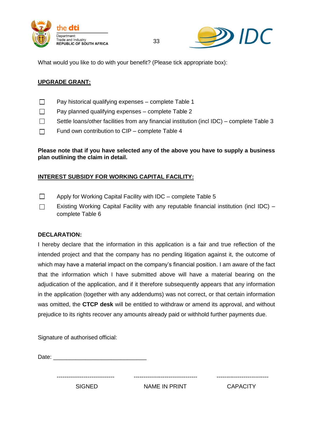



What would you like to do with your benefit? (Please tick appropriate box):

# **UPGRADE GRANT:**

- $\Box$  Pay historical qualifying expenses complete Table 1
- $\Box$ Pay planned qualifying expenses – complete Table 2
- $\Box$ Settle loans/other facilities from any financial institution (incl IDC) – complete Table 3

33

Fund own contribution to CIP – complete Table 4  $\Box$ 

# **Please note that if you have selected any of the above you have to supply a business plan outlining the claim in detail.**

# **INTEREST SUBSIDY FOR WORKING CAPITAL FACILITY:**

- $\Box$ Apply for Working Capital Facility with IDC – complete Table 5
- $\Box$ Existing Working Capital Facility with any reputable financial institution (incl IDC) – complete Table 6

#### **DECLARATION:**

I hereby declare that the information in this application is a fair and true reflection of the intended project and that the company has no pending litigation against it, the outcome of which may have a material impact on the company"s financial position. I am aware of the fact that the information which I have submitted above will have a material bearing on the adjudication of the application, and if it therefore subsequently appears that any information in the application (together with any addendums) was not correct, or that certain information was omitted, the **CTCP desk** will be entitled to withdraw or amend its approval, and without prejudice to its rights recover any amounts already paid or withhold further payments due.

Signature of authorised official:

Date:  $\Box$ 

SIGNED NAME IN PRINT CAPACITY

------------------------------ --------------------------------- ---------------------------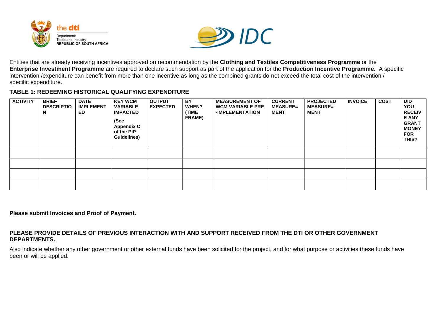



Entities that are already receiving incentives approved on recommendation by the **Clothing and Textiles Competitiveness Programme** or the **Enterprise Investment Programme** are required to declare such support as part of the application for the **Production Incentive Programme.** A specific intervention /expenditure can benefit from more than one incentive as long as the combined grants do not exceed the total cost of the intervention / specific expenditure.

#### **TABLE 1: REDEEMING HISTORICAL QUALIFYING EXPENDITURE**

| <b>ACTIVITY</b> | <b>BRIEF</b><br><b>DESCRIPTIO</b><br>N | <b>DATE</b><br><b>IMPLEMENT</b><br>ED. | <b>KEY WCM</b><br><b>VARIABLE</b><br><b>IMPACTED</b><br>(See<br><b>Appendix C</b><br>of the PIP<br><b>Guidelines)</b> | <b>OUTPUT</b><br><b>EXPECTED</b> | BY.<br>WHEN?<br>(TIME<br><b>FRAME)</b> | <b>MEASUREMENT OF</b><br><b>WCM VARIABLE PRE</b><br><b>-IMPLEMENTATION</b> | <b>CURRENT</b><br><b>MEASURE=</b><br><b>MENT</b> | <b>PROJECTED</b><br><b>MEASURE=</b><br><b>MENT</b> | <b>INVOICE</b> | <b>COST</b> | <b>DID</b><br>YOU<br><b>RECEIV</b><br><b>E ANY</b><br><b>GRANT</b><br><b>MONEY</b><br><b>FOR</b><br>THIS? |
|-----------------|----------------------------------------|----------------------------------------|-----------------------------------------------------------------------------------------------------------------------|----------------------------------|----------------------------------------|----------------------------------------------------------------------------|--------------------------------------------------|----------------------------------------------------|----------------|-------------|-----------------------------------------------------------------------------------------------------------|
|                 |                                        |                                        |                                                                                                                       |                                  |                                        |                                                                            |                                                  |                                                    |                |             |                                                                                                           |
|                 |                                        |                                        |                                                                                                                       |                                  |                                        |                                                                            |                                                  |                                                    |                |             |                                                                                                           |
|                 |                                        |                                        |                                                                                                                       |                                  |                                        |                                                                            |                                                  |                                                    |                |             |                                                                                                           |
|                 |                                        |                                        |                                                                                                                       |                                  |                                        |                                                                            |                                                  |                                                    |                |             |                                                                                                           |

**Please submit Invoices and Proof of Payment.**

#### **PLEASE PROVIDE DETAILS OF PREVIOUS INTERACTION WITH AND SUPPORT RECEIVED FROM THE DTI OR OTHER GOVERNMENT DEPARTMENTS.**

Also indicate whether any other government or other external funds have been solicited for the project, and for what purpose or activities these funds have been or will be applied.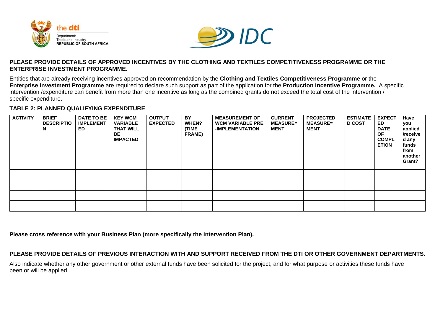



#### **PLEASE PROVIDE DETAILS OF APPROVED INCENTIVES BY THE CLOTHING AND TEXTILES COMPETITIVENESS PROGRAMME OR THE ENTERPRISE INVESTMENT PROGRAMME.**

Entities that are already receiving incentives approved on recommendation by the **Clothing and Textiles Competitiveness Programme** or the **Enterprise Investment Programme** are required to declare such support as part of the application for the **Production Incentive Programme.** A specific intervention /expenditure can benefit from more than one incentive as long as the combined grants do not exceed the total cost of the intervention / specific expenditure.

# **TABLE 2: PLANNED QUALIFYING EXPENDITURE**

| <b>ACTIVITY</b> | <b>BRIEF</b><br><b>DESCRIPTIO</b><br>N | <b>DATE TO BE</b><br><b>IMPLEMENT</b><br>ED. | <b>KEY WCM</b><br><b>VARIABLE</b><br><b>THAT WILL</b><br>BE.<br><b>IMPACTED</b> | <b>OUTPUT</b><br><b>EXPECTED</b> | BY<br>WHEN?<br>(TIME<br><b>FRAME)</b> | <b>MEASUREMENT OF</b><br><b>WCM VARIABLE PRE</b><br>-IMPLEMENTATION | <b>CURRENT</b><br><b>MEASURE=</b><br><b>MENT</b> | <b>PROJECTED</b><br><b>MEASURE=</b><br><b>MENT</b> | <b>ESTIMATE</b><br><b>D COST</b> | <b>EXPECT</b><br>ED.<br><b>DATE</b><br><b>OF</b><br><b>COMPL</b><br><b>ETION</b> | Have<br>you<br>applied<br>/receive<br>d any<br>funds<br>from<br>another<br>Grant? |
|-----------------|----------------------------------------|----------------------------------------------|---------------------------------------------------------------------------------|----------------------------------|---------------------------------------|---------------------------------------------------------------------|--------------------------------------------------|----------------------------------------------------|----------------------------------|----------------------------------------------------------------------------------|-----------------------------------------------------------------------------------|
|                 |                                        |                                              |                                                                                 |                                  |                                       |                                                                     |                                                  |                                                    |                                  |                                                                                  |                                                                                   |
|                 |                                        |                                              |                                                                                 |                                  |                                       |                                                                     |                                                  |                                                    |                                  |                                                                                  |                                                                                   |
|                 |                                        |                                              |                                                                                 |                                  |                                       |                                                                     |                                                  |                                                    |                                  |                                                                                  |                                                                                   |
|                 |                                        |                                              |                                                                                 |                                  |                                       |                                                                     |                                                  |                                                    |                                  |                                                                                  |                                                                                   |

**Please cross reference with your Business Plan (more specifically the Intervention Plan).**

# **PLEASE PROVIDE DETAILS OF PREVIOUS INTERACTION WITH AND SUPPORT RECEIVED FROM THE DTI OR OTHER GOVERNMENT DEPARTMENTS.**

Also indicate whether any other government or other external funds have been solicited for the project, and for what purpose or activities these funds have been or will be applied.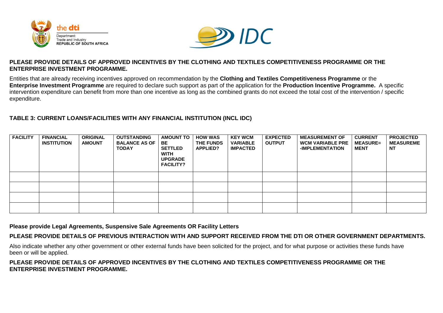



#### **PLEASE PROVIDE DETAILS OF APPROVED INCENTIVES BY THE CLOTHING AND TEXTILES COMPETITIVENESS PROGRAMME OR THE ENTERPRISE INVESTMENT PROGRAMME.**

Entities that are already receiving incentives approved on recommendation by the **Clothing and Textiles Competitiveness Programme** or the **Enterprise Investment Programme** are required to declare such support as part of the application for the **Production Incentive Programme.** A specific intervention expenditure can benefit from more than one incentive as long as the combined grants do not exceed the total cost of the intervention / specific expenditure.

# **TABLE 3: CURRENT LOANS/FACILITIES WITH ANY FINANCIAL INSTITUTION (INCL IDC)**

| <b>FACILITY</b> | <b>FINANCIAL</b><br><b>INSTITUTION</b> | <b>ORIGINAL</b><br><b>AMOUNT</b> | <b>OUTSTANDING</b><br><b>BALANCE AS OF</b><br><b>TODAY</b> | <b>AMOUNT TO</b><br>BE<br><b>SETTLED</b><br><b>WITH</b><br><b>UPGRADE</b><br><b>FACILITY?</b> | <b>HOW WAS</b><br><b>THE FUNDS</b><br>APPLIED? | <b>KEY WCM</b><br><b>VARIABLE</b><br><b>IMPACTED</b> | <b>EXPECTED</b><br><b>OUTPUT</b> | <b>MEASUREMENT OF</b><br><b>WCM VARIABLE PRE</b><br>-IMPLEMENTATION | <b>CURRENT</b><br><b>MEASURE=</b><br><b>MENT</b> | <b>PROJECTED</b><br><b>MEASUREME</b><br><b>NT</b> |
|-----------------|----------------------------------------|----------------------------------|------------------------------------------------------------|-----------------------------------------------------------------------------------------------|------------------------------------------------|------------------------------------------------------|----------------------------------|---------------------------------------------------------------------|--------------------------------------------------|---------------------------------------------------|
|                 |                                        |                                  |                                                            |                                                                                               |                                                |                                                      |                                  |                                                                     |                                                  |                                                   |
|                 |                                        |                                  |                                                            |                                                                                               |                                                |                                                      |                                  |                                                                     |                                                  |                                                   |
|                 |                                        |                                  |                                                            |                                                                                               |                                                |                                                      |                                  |                                                                     |                                                  |                                                   |
|                 |                                        |                                  |                                                            |                                                                                               |                                                |                                                      |                                  |                                                                     |                                                  |                                                   |

**Please provide Legal Agreements, Suspensive Sale Agreements OR Facility Letters**

**PLEASE PROVIDE DETAILS OF PREVIOUS INTERACTION WITH AND SUPPORT RECEIVED FROM THE DTI OR OTHER GOVERNMENT DEPARTMENTS.** 

Also indicate whether any other government or other external funds have been solicited for the project, and for what purpose or activities these funds have been or will be applied.

#### **PLEASE PROVIDE DETAILS OF APPROVED INCENTIVES BY THE CLOTHING AND TEXTILES COMPETITIVENESS PROGRAMME OR THE ENTERPRISE INVESTMENT PROGRAMME.**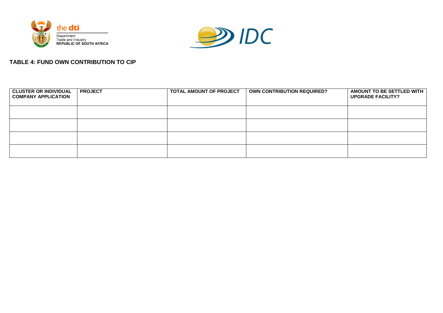



# **TABLE 4: FUND OWN CONTRIBUTION TO CIP**

| <b>CLUSTER OR INDIVIDUAL</b><br><b>COMPANY APPLICATION</b> | <b>PROJECT</b> | TOTAL AMOUNT OF PROJECT | <b>OWN CONTRIBUTION REQUIRED?</b> | AMOUNT TO BE SETTLED WITH<br><b>UPGRADE FACILITY?</b> |
|------------------------------------------------------------|----------------|-------------------------|-----------------------------------|-------------------------------------------------------|
|                                                            |                |                         |                                   |                                                       |
|                                                            |                |                         |                                   |                                                       |
|                                                            |                |                         |                                   |                                                       |
|                                                            |                |                         |                                   |                                                       |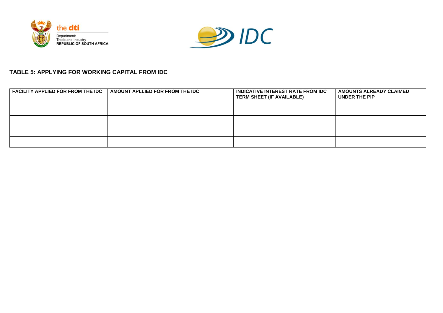



# **TABLE 5: APPLYING FOR WORKING CAPITAL FROM IDC**

| <b>FACILITY APPLIED FOR FROM THE IDC</b> | <b>AMOUNT APLLIED FOR FROM THE IDC</b> | <b>INDICATIVE INTEREST RATE FROM IDC</b><br><b>TERM SHEET (IF AVAILABLE)</b> | <b>AMOUNTS ALREADY CLAIMED</b><br>UNDER THE PIP |
|------------------------------------------|----------------------------------------|------------------------------------------------------------------------------|-------------------------------------------------|
|                                          |                                        |                                                                              |                                                 |
|                                          |                                        |                                                                              |                                                 |
|                                          |                                        |                                                                              |                                                 |
|                                          |                                        |                                                                              |                                                 |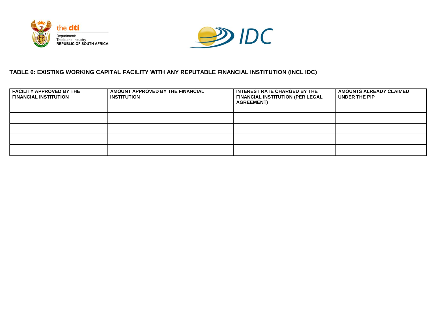



# **TABLE 6: EXISTING WORKING CAPITAL FACILITY WITH ANY REPUTABLE FINANCIAL INSTITUTION (INCL IDC)**

| <b>FACILITY APPROVED BY THE</b><br><b>FINANCIAL INSTITUTION</b> | AMOUNT APPROVED BY THE FINANCIAL<br><b>INSTITUTION</b> | <b>INTEREST RATE CHARGED BY THE</b><br><b>FINANCIAL INSTITUTION (PER LEGAL</b><br><b>AGREEMENT</b> ) | AMOUNTS ALREADY CLAIMED<br>UNDER THE PIP |
|-----------------------------------------------------------------|--------------------------------------------------------|------------------------------------------------------------------------------------------------------|------------------------------------------|
|                                                                 |                                                        |                                                                                                      |                                          |
|                                                                 |                                                        |                                                                                                      |                                          |
|                                                                 |                                                        |                                                                                                      |                                          |
|                                                                 |                                                        |                                                                                                      |                                          |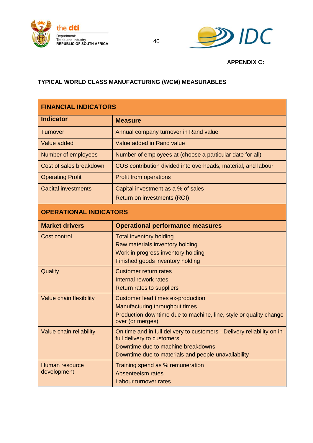



**APPENDIX C:**

# <span id="page-39-1"></span><span id="page-39-0"></span>**TYPICAL WORLD CLASS MANUFACTURING (WCM) MEASURABLES**

| <b>FINANCIAL INDICATORS</b>   |                                                                                                                                                                                                    |
|-------------------------------|----------------------------------------------------------------------------------------------------------------------------------------------------------------------------------------------------|
| <b>Indicator</b>              | <b>Measure</b>                                                                                                                                                                                     |
| <b>Turnover</b>               | Annual company turnover in Rand value                                                                                                                                                              |
| Value added                   | Value added in Rand value                                                                                                                                                                          |
| Number of employees           | Number of employees at (choose a particular date for all)                                                                                                                                          |
| Cost of sales breakdown       | COS contribution divided into overheads, material, and labour                                                                                                                                      |
| <b>Operating Profit</b>       | <b>Profit from operations</b>                                                                                                                                                                      |
| <b>Capital investments</b>    | Capital investment as a % of sales                                                                                                                                                                 |
|                               | <b>Return on investments (ROI)</b>                                                                                                                                                                 |
| <b>OPERATIONAL INDICATORS</b> |                                                                                                                                                                                                    |
| <b>Market drivers</b>         | <b>Operational performance measures</b>                                                                                                                                                            |
| <b>Cost control</b>           | <b>Total inventory holding</b><br>Raw materials inventory holding<br>Work in progress inventory holding<br>Finished goods inventory holding                                                        |
| Quality                       | <b>Customer return rates</b><br><b>Internal rework rates</b><br><b>Return rates to suppliers</b>                                                                                                   |
| Value chain flexibility       | <b>Customer lead times ex-production</b><br>Manufacturing throughput times<br>Production downtime due to machine, line, style or quality change<br>over (or merges)                                |
| Value chain reliability       | On time and in full delivery to customers - Delivery reliability on in-<br>full delivery to customers<br>Downtime due to machine breakdowns<br>Downtime due to materials and people unavailability |
| Human resource<br>development | Training spend as % remuneration<br><b>Absenteeism rates</b><br><b>Labour turnover rates</b>                                                                                                       |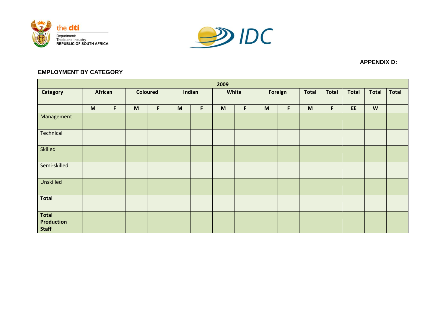



#### **APPENDIX D:**

# **EMPLOYMENT BY CATEGORY**

<span id="page-40-1"></span><span id="page-40-0"></span>

| 2009                                              |                                                                                                            |         |                 |   |                                                                                       |   |                                                                                                            |   |     |             |                                                                                       |              |              |                           |              |
|---------------------------------------------------|------------------------------------------------------------------------------------------------------------|---------|-----------------|---|---------------------------------------------------------------------------------------|---|------------------------------------------------------------------------------------------------------------|---|-----|-------------|---------------------------------------------------------------------------------------|--------------|--------------|---------------------------|--------------|
| Category                                          |                                                                                                            | African | <b>Coloured</b> |   | Indian                                                                                |   | White                                                                                                      |   |     | Foreign     | <b>Total</b>                                                                          | <b>Total</b> | <b>Total</b> | <b>Total</b>              | <b>Total</b> |
|                                                   |                                                                                                            |         |                 |   |                                                                                       |   |                                                                                                            |   |     |             |                                                                                       |              |              |                           |              |
|                                                   | $\mathsf{M}% _{T}=\mathsf{M}_{T}\!\left( a,b\right) ,\ \mathsf{M}_{T}=\mathsf{M}_{T}\!\left( a,b\right) ,$ | F       | M               | F | $\mathsf{M}% _{T}=\mathsf{M}_{T}\!\left( a,b\right) ,\ \mathsf{M}_{T}=\mathsf{M}_{T}$ | F | $\mathsf{M}% _{T}=\mathsf{M}_{T}\!\left( a,b\right) ,\ \mathsf{M}_{T}=\mathsf{M}_{T}\!\left( a,b\right) ,$ | F | $M$ | $\mathsf F$ | $\mathsf{M}% _{T}=\mathsf{M}_{T}\!\left( a,b\right) ,\ \mathsf{M}_{T}=\mathsf{M}_{T}$ | F            | EE.          | $\boldsymbol{\mathsf{W}}$ |              |
| Management                                        |                                                                                                            |         |                 |   |                                                                                       |   |                                                                                                            |   |     |             |                                                                                       |              |              |                           |              |
| Technical                                         |                                                                                                            |         |                 |   |                                                                                       |   |                                                                                                            |   |     |             |                                                                                       |              |              |                           |              |
| Skilled                                           |                                                                                                            |         |                 |   |                                                                                       |   |                                                                                                            |   |     |             |                                                                                       |              |              |                           |              |
| Semi-skilled                                      |                                                                                                            |         |                 |   |                                                                                       |   |                                                                                                            |   |     |             |                                                                                       |              |              |                           |              |
| Unskilled                                         |                                                                                                            |         |                 |   |                                                                                       |   |                                                                                                            |   |     |             |                                                                                       |              |              |                           |              |
| <b>Total</b>                                      |                                                                                                            |         |                 |   |                                                                                       |   |                                                                                                            |   |     |             |                                                                                       |              |              |                           |              |
| <b>Total</b><br><b>Production</b><br><b>Staff</b> |                                                                                                            |         |                 |   |                                                                                       |   |                                                                                                            |   |     |             |                                                                                       |              |              |                           |              |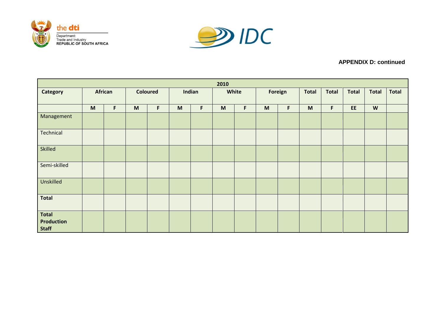



# **APPENDIX D: continued**

| 2010                                |         |   |   |                 |              |   |   |       |         |   |              |              |              |                           |              |
|-------------------------------------|---------|---|---|-----------------|--------------|---|---|-------|---------|---|--------------|--------------|--------------|---------------------------|--------------|
| Category                            | African |   |   | <b>Coloured</b> | Indian       |   |   | White | Foreign |   | <b>Total</b> | <b>Total</b> | <b>Total</b> | <b>Total</b>              | <b>Total</b> |
|                                     |         |   |   |                 |              |   |   |       |         |   |              |              |              |                           |              |
|                                     | M       | F | M | F               | $\mathsf{M}$ | F | M | F     | M       | F | M            | F            | EE.          | $\boldsymbol{\mathsf{W}}$ |              |
| Management                          |         |   |   |                 |              |   |   |       |         |   |              |              |              |                           |              |
| Technical                           |         |   |   |                 |              |   |   |       |         |   |              |              |              |                           |              |
| <b>Skilled</b>                      |         |   |   |                 |              |   |   |       |         |   |              |              |              |                           |              |
| Semi-skilled                        |         |   |   |                 |              |   |   |       |         |   |              |              |              |                           |              |
| Unskilled                           |         |   |   |                 |              |   |   |       |         |   |              |              |              |                           |              |
| <b>Total</b>                        |         |   |   |                 |              |   |   |       |         |   |              |              |              |                           |              |
| Total<br>Production<br><b>Staff</b> |         |   |   |                 |              |   |   |       |         |   |              |              |              |                           |              |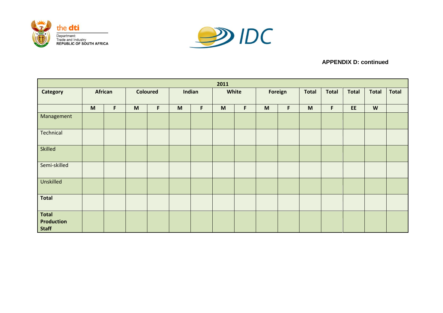



# **APPENDIX D: continued**

| 2011                                |         |   |   |                 |              |   |   |       |         |   |              |              |              |                           |              |
|-------------------------------------|---------|---|---|-----------------|--------------|---|---|-------|---------|---|--------------|--------------|--------------|---------------------------|--------------|
| Category                            | African |   |   | <b>Coloured</b> | Indian       |   |   | White | Foreign |   | <b>Total</b> | <b>Total</b> | <b>Total</b> | <b>Total</b>              | <b>Total</b> |
|                                     |         |   |   |                 |              |   |   |       |         |   |              |              |              |                           |              |
|                                     | M       | F | M | F               | $\mathsf{M}$ | F | M | F     | M       | F | M            | F            | EE.          | $\boldsymbol{\mathsf{W}}$ |              |
| Management                          |         |   |   |                 |              |   |   |       |         |   |              |              |              |                           |              |
| Technical                           |         |   |   |                 |              |   |   |       |         |   |              |              |              |                           |              |
| <b>Skilled</b>                      |         |   |   |                 |              |   |   |       |         |   |              |              |              |                           |              |
| Semi-skilled                        |         |   |   |                 |              |   |   |       |         |   |              |              |              |                           |              |
| Unskilled                           |         |   |   |                 |              |   |   |       |         |   |              |              |              |                           |              |
| <b>Total</b>                        |         |   |   |                 |              |   |   |       |         |   |              |              |              |                           |              |
| Total<br>Production<br><b>Staff</b> |         |   |   |                 |              |   |   |       |         |   |              |              |              |                           |              |